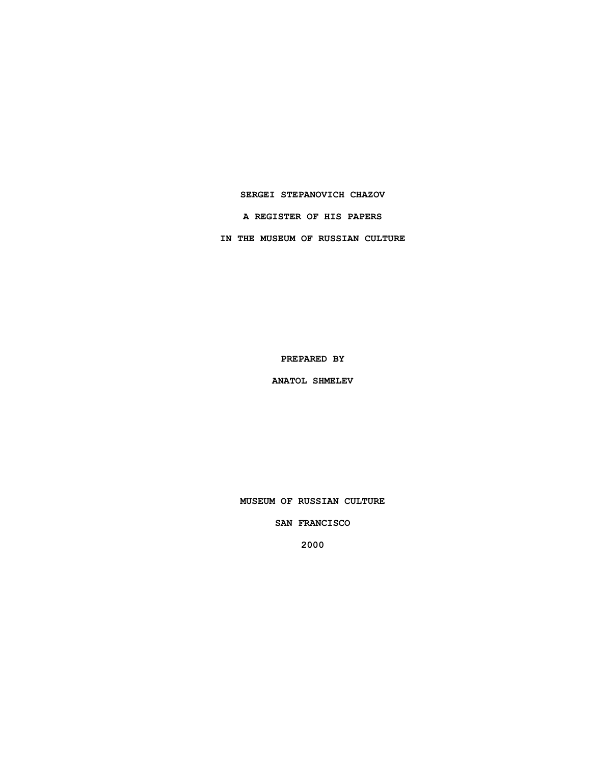### **SERGEI STEPANOVICH CHAZOV**

**A REGISTER OF HIS PAPERS**

**IN THE MUSEUM OF RUSSIAN CULTURE**

**PREPARED BY**

**ANATOL SHMELEV**

**MUSEUM OF RUSSIAN CULTURE**

**SAN FRANCISCO**

**2000**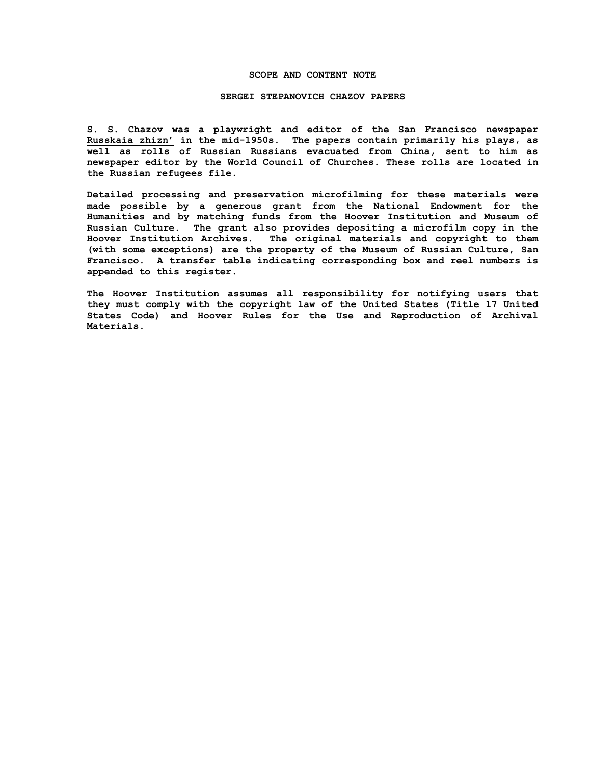### **SCOPE AND CONTENT NOTE**

#### **SERGEI STEPANOVICH CHAZOV PAPERS**

**S. S. Chazov was a playwright and editor of the San Francisco newspaper Russkaia zhizn' in the mid-1950s. The papers contain primarily his plays, as well as rolls of Russian Russians evacuated from China, sent to him as newspaper editor by the World Council of Churches. These rolls are located in the Russian refugees file.**

**Detailed processing and preservation microfilming for these materials were made possible by a generous grant from the National Endowment for the Humanities and by matching funds from the Hoover Institution and Museum of Russian Culture. The grant also provides depositing a microfilm copy in the Hoover Institution Archives. The original materials and copyright to them (with some exceptions) are the property of the Museum of Russian Culture, San Francisco. A transfer table indicating corresponding box and reel numbers is appended to this register.**

**The Hoover Institution assumes all responsibility for notifying users that they must comply with the copyright law of the United States (Title 17 United States Code) and Hoover Rules for the Use and Reproduction of Archival Materials.**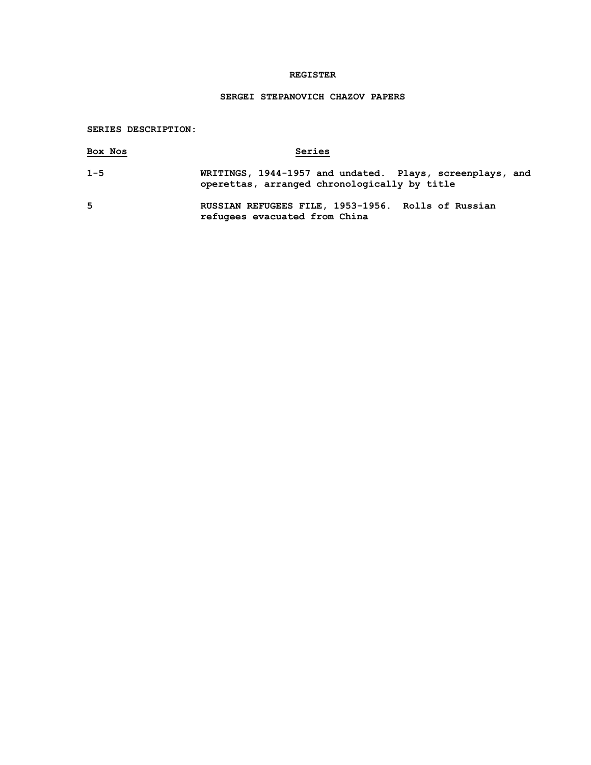# **REGISTER**

# **SERGEI STEPANOVICH CHAZOV PAPERS**

**SERIES DESCRIPTION:**

| Box Nos | Series                                                                                                   |
|---------|----------------------------------------------------------------------------------------------------------|
| $1 - 5$ | WRITINGS, 1944-1957 and undated. Plays, screenplays, and<br>operettas, arranged chronologically by title |
| 5       | RUSSIAN REFUGEES FILE, 1953-1956. Rolls of Russian<br>refugees evacuated from China                      |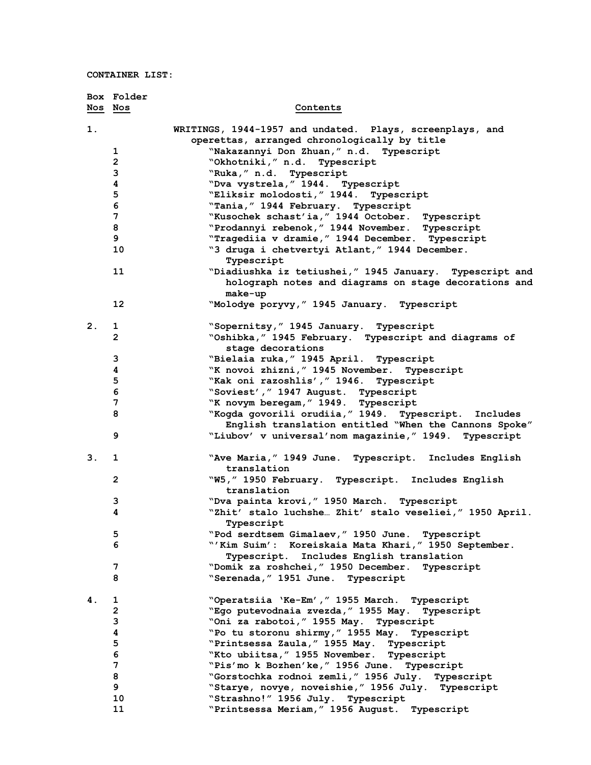|         | Box Folder     |                                                                                                   |
|---------|----------------|---------------------------------------------------------------------------------------------------|
| Nos Nos |                | Contents                                                                                          |
| 1.      |                | WRITINGS, 1944-1957 and undated. Plays, screenplays, and                                          |
|         |                | operettas, arranged chronologically by title                                                      |
|         | 1              | "Nakazannyi Don Zhuan," n.d. Typescript                                                           |
|         | $\overline{2}$ | "Okhotniki," n.d. Typescript                                                                      |
|         | 3              | "Ruka, " n.d. Typescript                                                                          |
|         | 4              | "Dva vystrela, "1944. Typescript                                                                  |
|         | 5              | "Eliksir molodosti, " 1944. Typescript                                                            |
|         | 6              | "Tania, " 1944 February. Typescript                                                               |
|         | 7              | "Kusochek schast'ia, " 1944 October. Typescript                                                   |
|         | 8<br>9         | "Prodannyi rebenok, " 1944 November. Typescript                                                   |
|         | 10             | "Tragediia v dramie, " 1944 December. Typescript<br>"3 druga i chetvertyi Atlant," 1944 December. |
|         |                | Typescript                                                                                        |
|         | 11             | "Diadiushka iz tetiushei, " 1945 January. Typescript and                                          |
|         |                | holograph notes and diagrams on stage decorations and<br>make-up                                  |
|         | 12             | "Molodye poryvy, " 1945 January. Typescript                                                       |
|         |                |                                                                                                   |
| 2.      | 1<br>2         | "Sopernitsy, " 1945 January. Typescript<br>"Oshibka," 1945 February. Typescript and diagrams of   |
|         |                | stage decorations                                                                                 |
|         | 3              | "Bielaia ruka, " 1945 April. Typescript                                                           |
|         | 4              | "K novoi zhizni," 1945 November.<br>Typescript                                                    |
|         | 5              | "Kak oni razoshlis', " 1946. Typescript                                                           |
|         | 6              | "Soviest', " 1947 August. Typescript                                                              |
|         | 7              | "K novym beregam," 1949.<br>Typescript                                                            |
|         | 8              | "Kogda govorili orudiia, "1949. Typescript. Includes                                              |
|         |                | English translation entitled "When the Cannons Spoke"                                             |
|         | 9              | "Liubov' v universal'nom magazinie," 1949. Typescript                                             |
| 3.      | 1              | "Ave Maria, " 1949 June. Typescript. Includes English                                             |
|         |                | translation                                                                                       |
|         | $\mathbf{2}$   | "W5, " 1950 February. Typescript. Includes English<br>translation                                 |
|         | 3              | "Dva painta krovi, " 1950 March. Typescript                                                       |
|         | 4              | "Zhit' stalo luchshe Zhit' stalo veseliei," 1950 April.                                           |
|         |                | Typescript                                                                                        |
|         | 5              | "Pod serdtsem Gimalaev, " 1950 June. Typescript                                                   |
|         | 6              | "'Kim Suim': Koreiskaia Mata Khari," 1950 September.                                              |
|         |                | Includes English translation<br><b>Typescript.</b>                                                |
|         | 7              | "Domik za roshchei," 1950 December.<br>Typescript                                                 |
|         | 8              | "Serenada, " 1951 June. Typescript                                                                |
| 4.      | 1              | "Operatsiia 'Ke-Em', " 1955 March. Typescript                                                     |
|         | $\mathbf{2}$   | "Ego putevodnaia zvezda," 1955 May.<br>Typescript                                                 |
|         | 3              | "Oni za rabotoi," 1955 May.<br>Typescript                                                         |
|         | 4              | "Po tu storonu shirmy," 1955 May.<br>Typescript                                                   |
|         | 5              | "Printsessa Zaula, " 1955 May.<br>Typescript                                                      |
|         | 6              | "Kto ubiitsa, " 1955 November. Typescript                                                         |
|         | $\overline{7}$ | "Pis'mo k Bozhen'ke," 1956 June.<br>Typescript                                                    |
|         | 8              | "Gorstochka rodnoi zemli," 1956 July.<br>Typescript                                               |
|         | 9              | "Starye, novye, noveishie," 1956 July. Typescript                                                 |
|         | 10             | "Strashno!" 1956 July. Typescript                                                                 |
|         | 11             | "Printsessa Meriam, " 1956 August. Typescript                                                     |